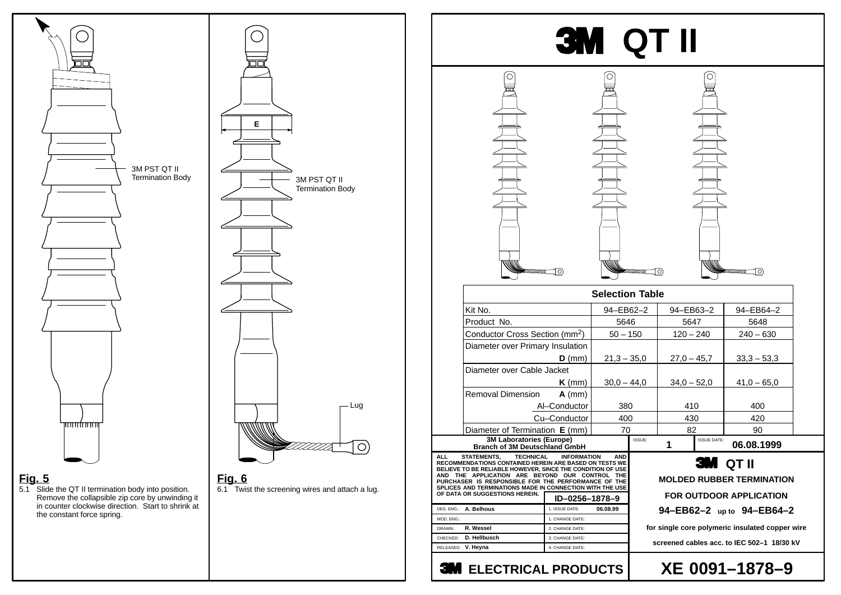## **Fig. 5**

5.1 Slide the QT II termination body into position. Remove the collapsible zip core by unwinding it in counter clockwise direction. Start to shrink at the constant force spring.

### **Fig. 6**

6.1 Twist the screening wires and attach a lug.

# **XE 0091–1878–9**



## **MOLDED RUBBER TERMINATION**

## **3M** QT II

### **FOR OUTDOOR APPLICATION 94–EB62–2 up to 94–EB64–2**

**for single core polymeric insulated copper wire**

**screened cables acc. to IEC 502–1 18/30 kV**



## **3M ELECTRICAL PRODUCTS**



| Table   |               |                    |               |  |
|---------|---------------|--------------------|---------------|--|
| $2 - 2$ | 94-EB63-2     |                    | 94-EB64-2     |  |
|         | 5647          |                    | 5648          |  |
| 50      | $120 - 240$   |                    | $240 - 630$   |  |
|         |               |                    |               |  |
| 5,0     | $27,0 - 45,7$ |                    | $33,3 - 53,3$ |  |
|         |               |                    |               |  |
| 4,0     | $34,0 - 52,0$ |                    | $41,0 - 65,0$ |  |
|         |               |                    |               |  |
|         | 410           |                    | 400           |  |
|         | 430           |                    | 420           |  |
|         | 82            |                    | 90            |  |
| SSUE:   |               | <b>ISSUE DATE:</b> | 06.08.1999    |  |